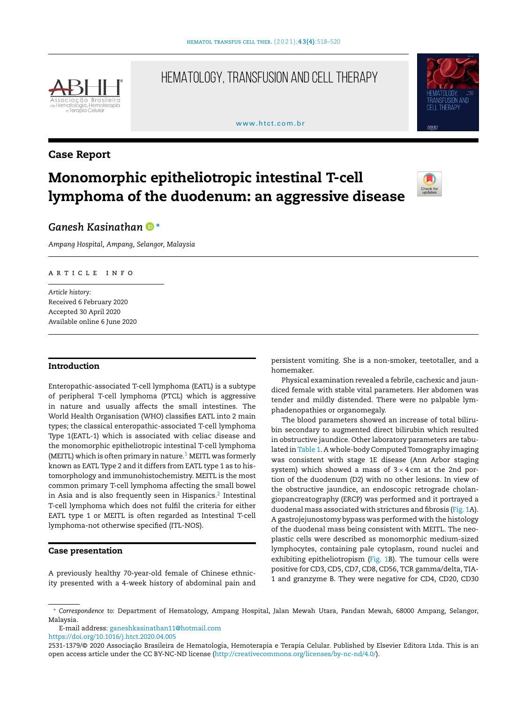

# HEMATOLOGY, TRANSFUSION AND CELL THERAPY

#### www.htct.com.hr



# Case Report

# Monomorphic epitheliotropic intestinal T-cell lymphoma of the duodenum: an aggressive disease



# *Ganesh Kasinatha[n](https://orcid.org/0000-0002-7489-9261)* <sup>∗</sup>

*Ampang Hospital, Ampang, Selangor, Malaysia*

# a r t i c l e i n f o

*Article history:* Received 6 February 2020 Accepted 30 April 2020 Available online 6 June 2020

# Introduction

Enteropathic-associated T-cell lymphoma (EATL) is a subtype of peripheral T-cell lymphoma (PTCL) which is aggressive in nature and usually affects the small intestines. The World Health Organisation (WHO) classifies EATL into 2 main types; the classical enteropathic-associated T-cell lymphoma Type 1(EATL-1) which is associated with celiac disease and the monomorphic epitheliotropic intestinal T-cell lymphoma (MEITL) which is often primary in nature.<sup>[1](#page-2-0)</sup> MEITL was formerly known as EATL Type 2 and it differs from EATL type 1 as to histomorphology and immunohistochemistry. MEITL is the most common primary T-cell lymphoma affecting the small bowel in Asia and is also frequently seen in Hispanics. $^2$  $^2$  Intestinal T-cell lymphoma which does not fulfil the criteria for either EATL type 1 or MEITL is often regarded as Intestinal T-cell lymphoma-not otherwise specified (ITL-NOS).

# Case presentation

A previously healthy 70-year-old female of Chinese ethnicity presented with a 4-week history of abdominal pain and persistent vomiting. She is a non-smoker, teetotaller, and a homemaker.

Physical examination revealed a febrile, cachexic and jaundiced female with stable vital parameters. Her abdomen was tender and mildly distended. There were no palpable lymphadenopathies or organomegaly.

The blood parameters showed an increase of total bilirubin secondary to augmented direct bilirubin which resulted in obstructive jaundice. Other laboratory parameters are tabulated in [Table](#page-1-0) 1. A whole-body Computed Tomography imaging was consistent with stage 1E disease (Ann Arbor staging system) which showed a mass of  $3 \times 4$  cm at the 2nd portion of the duodenum (D2) with no other lesions. In view of the obstructive jaundice, an endoscopic retrograde cholangiopancreatography (ERCP) was performed and it portrayed a duodenal mass associated with strictures and fibrosis ([Fig.](#page-1-0) 1A). A gastrojejunostomy bypass was performed with the histology of the duodenal mass being consistent with MEITL. The neoplastic cells were described as monomorphic medium-sized lymphocytes, containing pale cytoplasm, round nuclei and exhibiting epitheliotropism [\(Fig.](#page-1-0) 1B). The tumour cells were positive for CD3, CD5, CD7, CD8, CD56, TCR gamma/delta, TIA-1 and granzyme B. They were negative for CD4, CD20, CD30

E-mail address: [ganeshkasinathan11@hotmail.com](mailto:ganeshkasinathan11@hotmail.com)

<https://doi.org/10.1016/j.htct.2020.04.005>

<sup>∗</sup> *Correspondence to*: Department of Hematology, Ampang Hospital, Jalan Mewah Utara, Pandan Mewah, 68000 Ampang, Selangor, Malaysia.

<sup>2531-1379/© 2020</sup> Associação Brasileira de Hematologia, Hemoterapia e Terapia Celular. Published by Elsevier Editora Ltda. This is an open access article under the CC BY-NC-ND license [\(http://creativecommons.org/licenses/by-nc-nd/4.0/](http://creativecommons.org/licenses/by-nc-nd/4.0/)).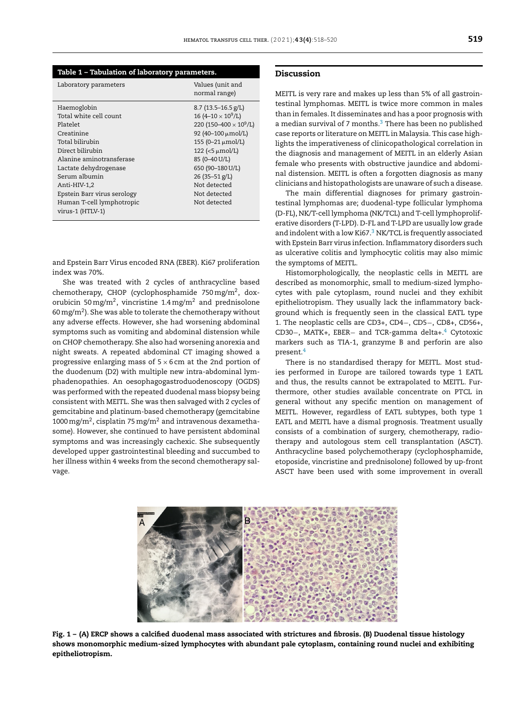<span id="page-1-0"></span>

| Table 1 - Tabulation of laboratory parameters.                                                                                                                                                                                                                               |                                                                                                                                                                                                                                                                                         |
|------------------------------------------------------------------------------------------------------------------------------------------------------------------------------------------------------------------------------------------------------------------------------|-----------------------------------------------------------------------------------------------------------------------------------------------------------------------------------------------------------------------------------------------------------------------------------------|
| Laboratory parameters                                                                                                                                                                                                                                                        | Values (unit and<br>normal range)                                                                                                                                                                                                                                                       |
| Haemoglobin<br>Total white cell count<br>Platelet<br>Creatinine<br>Total bilirubin<br>Direct bilirubin<br>Alanine aminotransferase<br>Lactate dehydrogenase<br>Serum albumin<br>Anti-HIV-1,2<br>Epstein Barr virus serology<br>Human T-cell lymphotropic<br>virus-1 (HTLV-1) | $8.7$ (13.5-16.5 g/L)<br>16 (4-10 $\times$ 10 <sup>9</sup> /L)<br>220 (150-400 $\times$ 10 <sup>9</sup> /L)<br>92 (40-100 μmol/L)<br>155 (0-21 μmol/L)<br>$122$ (<5 $\mu$ mol/L)<br>85 (0-40 U/L)<br>650 (90-180 U/L)<br>26 (35-51 g/L)<br>Not detected<br>Not detected<br>Not detected |

and Epstein Barr Virus encoded RNA (EBER). Ki67 proliferation index was 70%.

She was treated with 2 cycles of anthracycline based chemotherapy, CHOP (cyclophosphamide 750 mg/m², doxorubicin 50 mg/m<sup>2</sup>, vincristine 1.4 mg/m<sup>2</sup> and prednisolone 60 mg/m<sup>2</sup>). She was able to tolerate the chemotherapy without any adverse effects. However, she had worsening abdominal symptoms such as vomiting and abdominal distension while on CHOP chemotherapy. She also had worsening anorexia and night sweats. A repeated abdominal CT imaging showed a progressive enlarging mass of  $5 \times 6$  cm at the 2nd portion of the duodenum (D2) with multiple new intra-abdominal lymphadenopathies. An oesophagogastroduodenoscopy (OGDS) was performed with the repeated duodenal mass biopsy being consistent with MEITL. She was then salvaged with 2 cycles of gemcitabine and platinum-based chemotherapy (gemcitabine 1000 mg/m<sup>2</sup>, cisplatin 75 mg/m<sup>2</sup> and intravenous dexamethasome). However, she continued to have persistent abdominal symptoms and was increasingly cachexic. She subsequently developed upper gastrointestinal bleeding and succumbed to her illness within 4 weeks from the second chemotherapy salvage.

### Discussion

MEITL is very rare and makes up less than 5% of all gastrointestinal lymphomas. MEITL is twice more common in males than in females. It disseminates and has a poor prognosis with a median survival of 7 months. $3$  There has been no published case reports or literature on MEITL in Malaysia. This case highlights the imperativeness of clinicopathological correlation in the diagnosis and management of MEITL in an elderly Asian female who presents with obstructive jaundice and abdominal distension. MEITL is often a forgotten diagnosis as many clinicians and histopathologists are unaware of such a disease.

The main differential diagnoses for primary gastrointestinal lymphomas are; duodenal-type follicular lymphoma (D-FL), NK/T-cell lymphoma (NK/TCL) and T-cell lymphoproliferative disorders (T-LPD). D-FL and T-LPD are usually low grade and indolent with a low Ki67. $3$  [N](#page-2-0)K/TCL is frequently associated with Epstein Barr virus infection. Inflammatory disorders such as ulcerative colitis and lymphocytic colitis may also mimic the symptoms of MEITL.

Histomorphologically, the neoplastic cells in MEITL are described as monomorphic, small to medium-sized lymphocytes with pale cytoplasm, round nuclei and they exhibit epitheliotropism. They usually lack the inflammatory background which is frequently seen in the classical EATL type 1. The neoplastic cells are CD3+, CD4−, CD5−, CD8+, CD56+, CD30−, MATK+, EBER− and TCR-gamma delta+.[4](#page-2-0) Cytotoxic markers such as TIA-1, granzyme B and perforin are also present.[4](#page-2-0)

There is no standardised therapy for MEITL. Most studies performed in Europe are tailored towards type 1 EATL and thus, the results cannot be extrapolated to MEITL. Furthermore, other studies available concentrate on PTCL in general without any specific mention on management of MEITL. However, regardless of EATL subtypes, both type 1 EATL and MEITL have a dismal prognosis. Treatment usually consists of a combination of surgery, chemotherapy, radiotherapy and autologous stem cell transplantation (ASCT). Anthracycline based polychemotherapy (cyclophosphamide, etoposide, vincristine and prednisolone) followed by up-front ASCT have been used with some improvement in overall



Fig. 1 – (A) ERCP shows a calcified duodenal mass associated with strictures and fibrosis. (B) Duodenal tissue histology shows monomorphic medium-sized lymphocytes with abundant pale cytoplasm, containing round nuclei and exhibiting epitheliotropism.